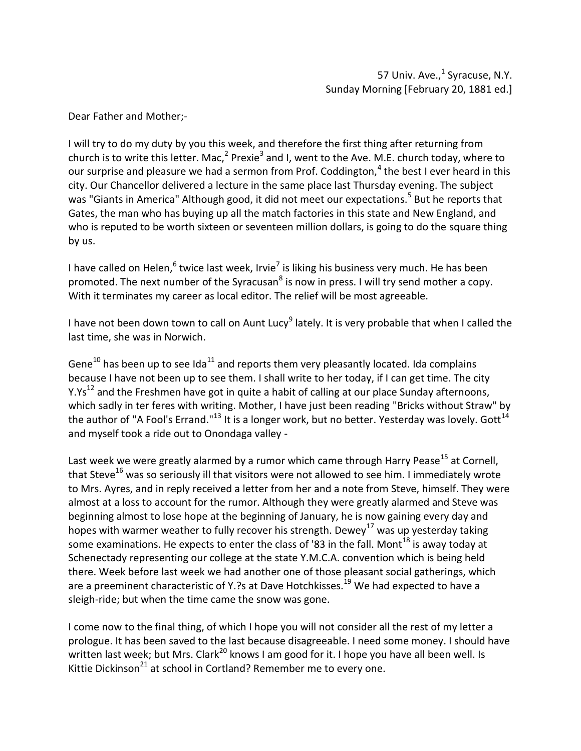I will try to do my duty by you this week, and therefore the first thing after returning from church is to write this letter. Mac.<sup>2</sup> Prexie<sup>3</sup> and I, went to the Ave. M.E. church today, where to our surprise and pleasure we had a sermon from Prof. Coddington, $4$  the best I ever heard in this city. Our Chancellor delivered a lecture in the same place last Thursday evening. The subject was "Giants in America" Although good, it did not meet our expectations.<sup>5</sup> But he reports that Gates, the man who has buying up all the match factories in this state and New England, and who is reputed to be worth sixteen or seventeen million dollars, is going to do the square thing by us.

I have called on Helen,  $6$  twice last week, Irvie<sup>7</sup> is liking his business very much. He has been promoted. The next number of the Syracusan<sup>8</sup> is now in press. I will try send mother a copy. With it terminates my career as local editor. The relief will be most agreeable.

I have not been down town to call on Aunt Lucy<sup>9</sup> lately. It is very probable that when I called the last time, she was in Norwich.

Gene<sup>10</sup> has been up to see Ida<sup>11</sup> and reports them very pleasantly located. Ida complains because I have not been up to see them. I shall write to her today, if I can get time. The city Y.Ys<sup>12</sup> and the Freshmen have got in quite a habit of calling at our place Sunday afternoons, which sadly in ter feres with writing. Mother, I have just been reading "Bricks without Straw" by the author of "A Fool's Errand."<sup>13</sup> It is a longer work, but no better. Yesterday was lovely. Gott<sup>14</sup> and myself took a ride out to Onondaga valley -

Last week we were greatly alarmed by a rumor which came through Harry Pease<sup>15</sup> at Cornell, that Steve<sup>16</sup> was so seriously ill that visitors were not allowed to see him. I immediately wrote to Mrs. Ayres, and in reply received a letter from her and a note from Steve, himself. They were almost at a loss to account for the rumor. Although they were greatly alarmed and Steve was beginning almost to lose hope at the beginning of January, he is now gaining every day and hopes with warmer weather to fully recover his strength. Dewey<sup>17</sup> was up yesterday taking some examinations. He expects to enter the class of '83 in the fall. Mont<sup>18</sup> is away today at Schenectady representing our college at the state Y.M.C.A. convention which is being held there. Week before last week we had another one of those pleasant social gatherings, which are a preeminent characteristic of Y.?s at Dave Hotchkisses.<sup>19</sup> We had expected to have a sleigh-ride; but when the time came the snow was gone.

I come now to the final thing, of which I hope you will not consider all the rest of my letter a prologue. It has been saved to the last because disagreeable. I need some money. I should have written last week; but Mrs. Clark<sup>20</sup> knows I am good for it. I hope you have all been well. Is Kittie Dickinson<sup>21</sup> at school in Cortland? Remember me to every one.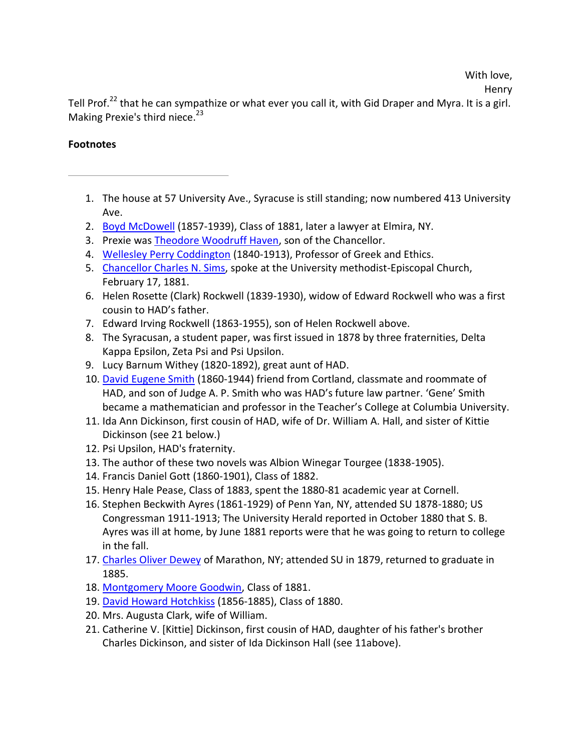# With love,

Henry

Tell Prof.<sup>22</sup> that he can sympathize or what ever you call it, with Gid Draper and Myra. It is a girl. Making Prexie's third niece.<sup>23</sup>

- 1. The house at 57 University Ave., Syracuse is still standing; now numbered 413 University Ave.
- 2. Boyd McDowell (1857-1939), Class of 1881, later a lawyer at Elmira, NY.
- 3. Prexie was Theodore Woodruff Haven, son of the Chancellor.
- 4. Wellesley Perry Coddington (1840-1913), Professor of Greek and Ethics.
- 5. Chancellor Charles N. Sims, spoke at the University methodist-Episcopal Church, February 17, 1881.
- 6. Helen Rosette (Clark) Rockwell (1839-1930), widow of Edward Rockwell who was a first cousin to HAD's father.
- 7. Edward Irving Rockwell (1863-1955), son of Helen Rockwell above.
- 8. The Syracusan, a student paper, was first issued in 1878 by three fraternities, Delta Kappa Epsilon, Zeta Psi and Psi Upsilon.
- 9. Lucy Barnum Withey (1820-1892), great aunt of HAD.
- 10. David Eugene Smith (1860-1944) friend from Cortland, classmate and roommate of HAD, and son of Judge A. P. Smith who was HAD's future law partner. 'Gene' Smith became a mathematician and professor in the Teacher's College at Columbia University.
- 11. Ida Ann Dickinson, first cousin of HAD, wife of Dr. William A. Hall, and sister of Kittie Dickinson (see 21 below.)
- 12. Psi Upsilon, HAD's fraternity.
- 13. The author of these two novels was Albion Winegar Tourgee (1838-1905).
- 14. Francis Daniel Gott (1860-1901), Class of 1882.
- 15. Henry Hale Pease, Class of 1883, spent the 1880-81 academic year at Cornell.
- 16. Stephen Beckwith Ayres (1861-1929) of Penn Yan, NY, attended SU 1878-1880; US Congressman 1911-1913; The University Herald reported in October 1880 that S. B. Ayres was ill at home, by June 1881 reports were that he was going to return to college in the fall.
- 17. Charles Oliver Dewey of Marathon, NY; attended SU in 1879, returned to graduate in 1885.
- 18. Montgomery Moore Goodwin, Class of 1881.
- 19. David Howard Hotchkiss (1856-1885), Class of 1880.
- 20. Mrs. Augusta Clark, wife of William.
- 21. Catherine V. [Kittie] Dickinson, first cousin of HAD, daughter of his father's brother Charles Dickinson, and sister of Ida Dickinson Hall (see 11above).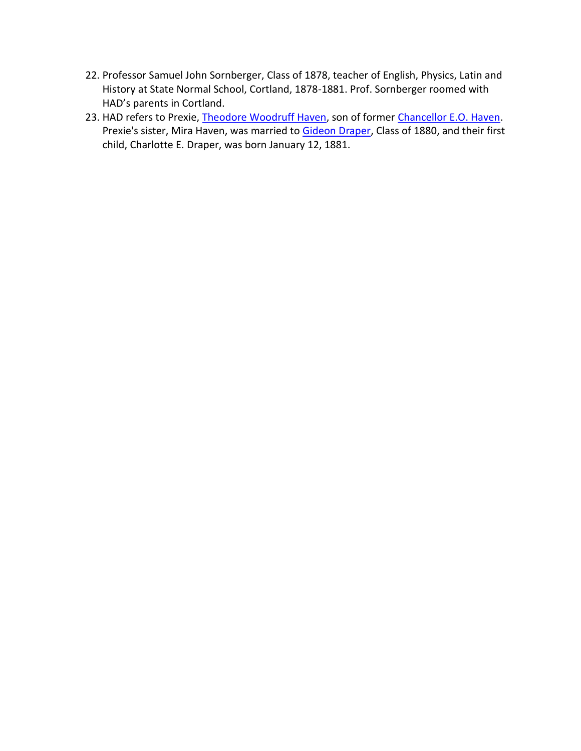- 22. Professor Samuel John Sornberger, Class of 1878, teacher of English, Physics, Latin and History at State Normal School, Cortland, 1878-1881. Prof. Sornberger roomed with HAD's parents in Cortland.
- 23. HAD refers to Prexie, Theodore Woodruff Haven, son of former Chancellor E.O. Haven. Prexie's sister, Mira Haven, was married to Gideon Draper, Class of 1880, and their first child, Charlotte E. Draper, was born January 12, 1881.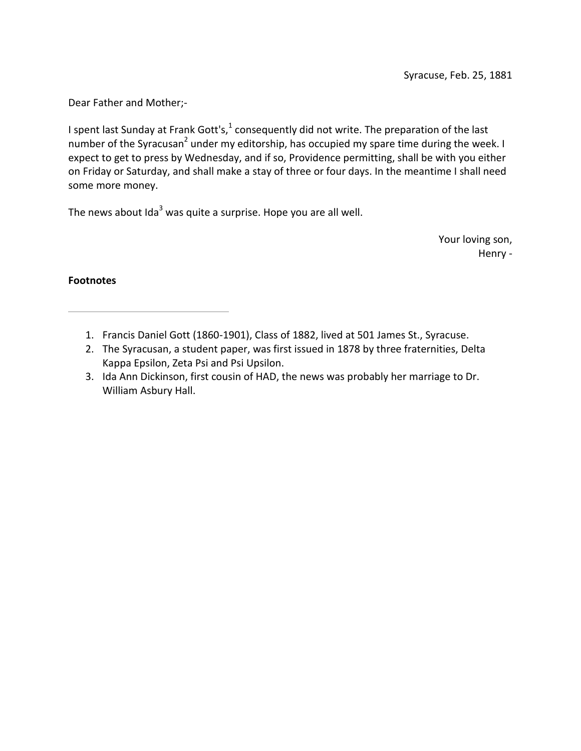I spent last Sunday at Frank Gott's, $<sup>1</sup>$  consequently did not write. The preparation of the last</sup> number of the Syracusan<sup>2</sup> under my editorship, has occupied my spare time during the week. I expect to get to press by Wednesday, and if so, Providence permitting, shall be with you either on Friday or Saturday, and shall make a stay of three or four days. In the meantime I shall need some more money.

The news about  $Ida<sup>3</sup>$  was quite a surprise. Hope you are all well.

Your loving son, Henry -

- 1. Francis Daniel Gott (1860-1901), Class of 1882, lived at 501 James St., Syracuse.
- 2. The Syracusan, a student paper, was first issued in 1878 by three fraternities, Delta Kappa Epsilon, Zeta Psi and Psi Upsilon.
- 3. Ida Ann Dickinson, first cousin of HAD, the news was probably her marriage to Dr. William Asbury Hall.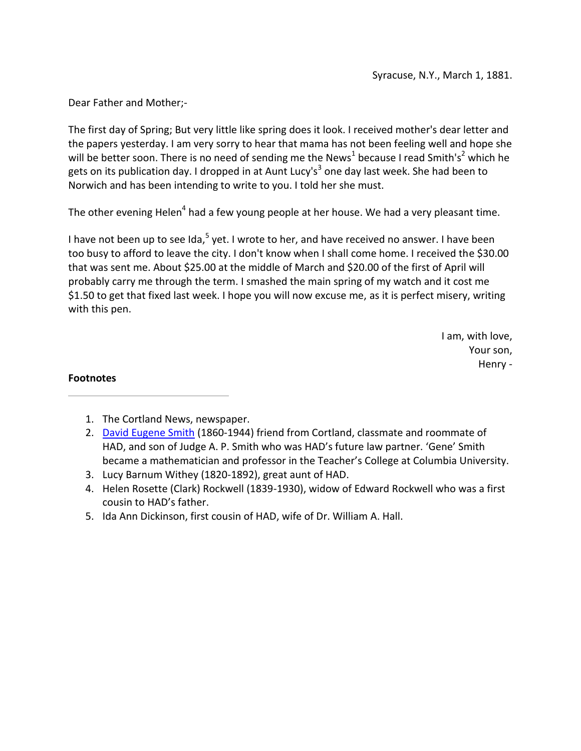The first day of Spring; But very little like spring does it look. I received mother's dear letter and the papers yesterday. I am very sorry to hear that mama has not been feeling well and hope she will be better soon. There is no need of sending me the News<sup>1</sup> because I read Smith's<sup>2</sup> which he gets on its publication day. I dropped in at Aunt Lucy's<sup>3</sup> one day last week. She had been to Norwich and has been intending to write to you. I told her she must.

The other evening Helen<sup>4</sup> had a few young people at her house. We had a very pleasant time.

I have not been up to see Ida,  $5$  yet. I wrote to her, and have received no answer. I have been too busy to afford to leave the city. I don't know when I shall come home. I received the \$30.00 that was sent me. About \$25.00 at the middle of March and \$20.00 of the first of April will probably carry me through the term. I smashed the main spring of my watch and it cost me \$1.50 to get that fixed last week. I hope you will now excuse me, as it is perfect misery, writing with this pen.

> I am, with love, Your son, Henry -

- 1. The Cortland News, newspaper.
- 2. David Eugene Smith (1860-1944) friend from Cortland, classmate and roommate of HAD, and son of Judge A. P. Smith who was HAD's future law partner. 'Gene' Smith became a mathematician and professor in the Teacher's College at Columbia University.
- 3. Lucy Barnum Withey (1820-1892), great aunt of HAD.
- 4. Helen Rosette (Clark) Rockwell (1839-1930), widow of Edward Rockwell who was a first cousin to HAD's father.
- 5. Ida Ann Dickinson, first cousin of HAD, wife of Dr. William A. Hall.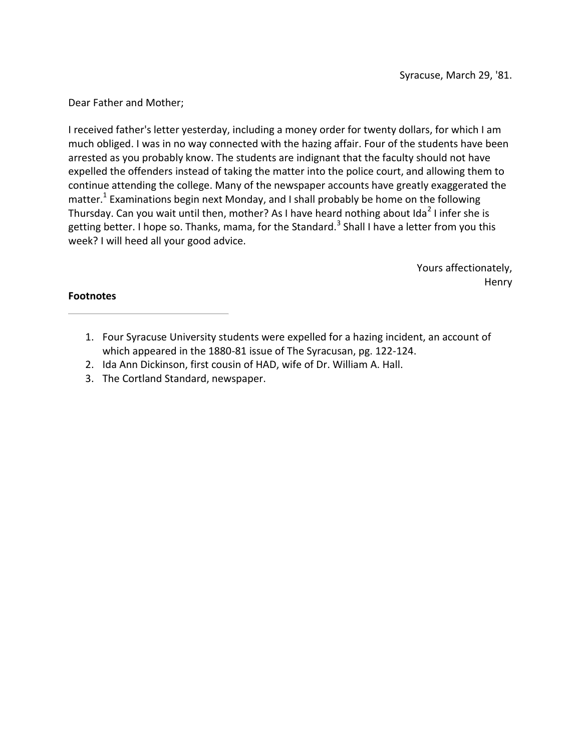I received father's letter yesterday, including a money order for twenty dollars, for which I am much obliged. I was in no way connected with the hazing affair. Four of the students have been arrested as you probably know. The students are indignant that the faculty should not have expelled the offenders instead of taking the matter into the police court, and allowing them to continue attending the college. Many of the newspaper accounts have greatly exaggerated the matter.<sup>1</sup> Examinations begin next Monday, and I shall probably be home on the following Thursday. Can you wait until then, mother? As I have heard nothing about Ida<sup>2</sup> I infer she is getting better. I hope so. Thanks, mama, for the Standard.<sup>3</sup> Shall I have a letter from you this week? I will heed all your good advice.

> Yours affectionately, Henry

- 1. Four Syracuse University students were expelled for a hazing incident, an account of which appeared in the 1880-81 issue of The Syracusan, pg. 122-124.
- 2. Ida Ann Dickinson, first cousin of HAD, wife of Dr. William A. Hall.
- 3. The Cortland Standard, newspaper.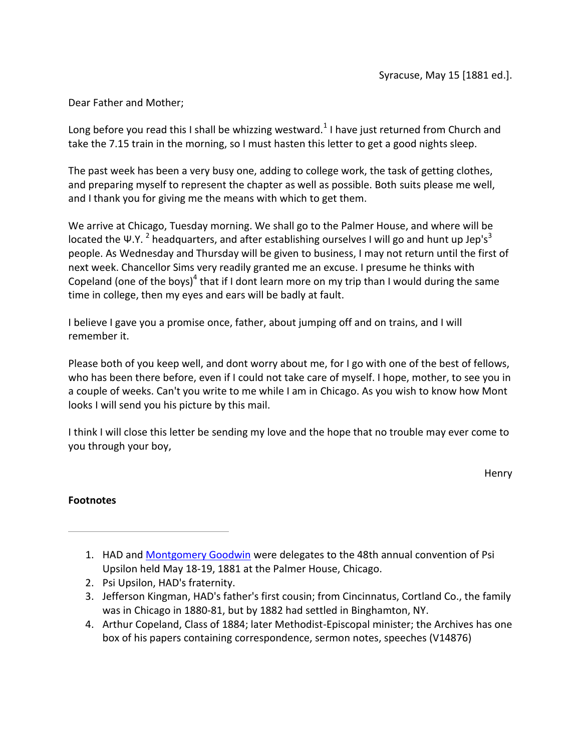Long before you read this I shall be whizzing westward.<sup>1</sup> I have just returned from Church and take the 7.15 train in the morning, so I must hasten this letter to get a good nights sleep.

The past week has been a very busy one, adding to college work, the task of getting clothes, and preparing myself to represent the chapter as well as possible. Both suits please me well, and I thank you for giving me the means with which to get them.

We arrive at Chicago, Tuesday morning. We shall go to the Palmer House, and where will be located the Ψ.Υ. <sup>2</sup> headquarters, and after establishing ourselves I will go and hunt up Jep's<sup>3</sup> people. As Wednesday and Thursday will be given to business, I may not return until the first of next week. Chancellor Sims very readily granted me an excuse. I presume he thinks with Copeland (one of the boys)<sup>4</sup> that if I dont learn more on my trip than I would during the same time in college, then my eyes and ears will be badly at fault.

I believe I gave you a promise once, father, about jumping off and on trains, and I will remember it.

Please both of you keep well, and dont worry about me, for I go with one of the best of fellows, who has been there before, even if I could not take care of myself. I hope, mother, to see you in a couple of weeks. Can't you write to me while I am in Chicago. As you wish to know how Mont looks I will send you his picture by this mail.

I think I will close this letter be sending my love and the hope that no trouble may ever come to you through your boy,

Henry

- 1. HAD and Montgomery Goodwin were delegates to the 48th annual convention of Psi Upsilon held May 18-19, 1881 at the Palmer House, Chicago.
- 2. Psi Upsilon, HAD's fraternity.
- 3. Jefferson Kingman, HAD's father's first cousin; from Cincinnatus, Cortland Co., the family was in Chicago in 1880-81, but by 1882 had settled in Binghamton, NY.
- 4. Arthur Copeland, Class of 1884; later Methodist-Episcopal minister; the Archives has one box of his papers containing correspondence, sermon notes, speeches (V14876)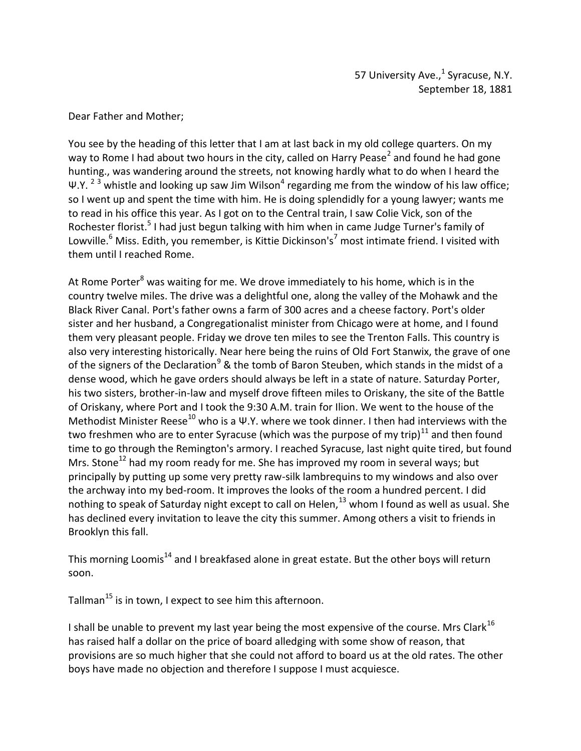You see by the heading of this letter that I am at last back in my old college quarters. On my way to Rome I had about two hours in the city, called on Harry Pease<sup>2</sup> and found he had gone hunting., was wandering around the streets, not knowing hardly what to do when I heard the Ψ.Υ. <sup>2 3</sup> whistle and looking up saw Jim Wilson<sup>4</sup> regarding me from the window of his law office; so I went up and spent the time with him. He is doing splendidly for a young lawyer; wants me to read in his office this year. As I got on to the Central train, I saw Colie Vick, son of the Rochester florist.<sup>5</sup> I had just begun talking with him when in came Judge Turner's family of Lowville.<sup>6</sup> Miss. Edith, you remember, is Kittie Dickinson's<sup>7</sup> most intimate friend. I visited with them until I reached Rome.

At Rome Porter<sup>8</sup> was waiting for me. We drove immediately to his home, which is in the country twelve miles. The drive was a delightful one, along the valley of the Mohawk and the Black River Canal. Port's father owns a farm of 300 acres and a cheese factory. Port's older sister and her husband, a Congregationalist minister from Chicago were at home, and I found them very pleasant people. Friday we drove ten miles to see the Trenton Falls. This country is also very interesting historically. Near here being the ruins of Old Fort Stanwix, the grave of one of the signers of the Declaration<sup>9</sup> & the tomb of Baron Steuben, which stands in the midst of a dense wood, which he gave orders should always be left in a state of nature. Saturday Porter, his two sisters, brother-in-law and myself drove fifteen miles to Oriskany, the site of the Battle of Oriskany, where Port and I took the 9:30 A.M. train for Ilion. We went to the house of the Methodist Minister Reese<sup>10</sup> who is a Ψ.Y. where we took dinner. I then had interviews with the two freshmen who are to enter Syracuse (which was the purpose of my trip) $^{11}$  and then found time to go through the Remington's armory. I reached Syracuse, last night quite tired, but found Mrs. Stone<sup>12</sup> had my room ready for me. She has improved my room in several ways; but principally by putting up some very pretty raw-silk lambrequins to my windows and also over the archway into my bed-room. It improves the looks of the room a hundred percent. I did nothing to speak of Saturday night except to call on Helen, $^{13}$  whom I found as well as usual. She has declined every invitation to leave the city this summer. Among others a visit to friends in Brooklyn this fall.

This morning Loomis<sup>14</sup> and I breakfased alone in great estate. But the other boys will return soon.

Tallman<sup>15</sup> is in town, I expect to see him this afternoon.

I shall be unable to prevent my last year being the most expensive of the course. Mrs Clark<sup>16</sup> has raised half a dollar on the price of board alledging with some show of reason, that provisions are so much higher that she could not afford to board us at the old rates. The other boys have made no objection and therefore I suppose I must acquiesce.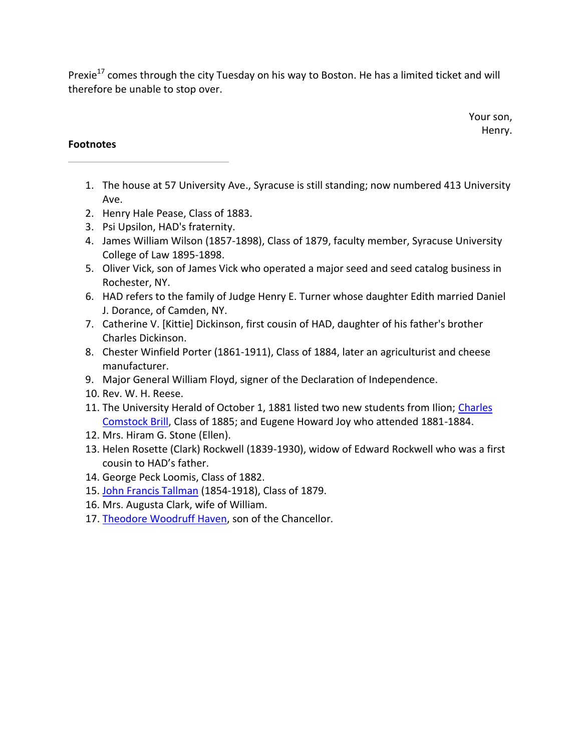Prexie<sup>17</sup> comes through the city Tuesday on his way to Boston. He has a limited ticket and will therefore be unable to stop over.

> Your son, Henry.

- 1. The house at 57 University Ave., Syracuse is still standing; now numbered 413 University Ave.
- 2. Henry Hale Pease, Class of 1883.
- 3. Psi Upsilon, HAD's fraternity.
- 4. James William Wilson (1857-1898), Class of 1879, faculty member, Syracuse University College of Law 1895-1898.
- 5. Oliver Vick, son of James Vick who operated a major seed and seed catalog business in Rochester, NY.
- 6. HAD refers to the family of Judge Henry E. Turner whose daughter Edith married Daniel J. Dorance, of Camden, NY.
- 7. Catherine V. [Kittie] Dickinson, first cousin of HAD, daughter of his father's brother Charles Dickinson.
- 8. Chester Winfield Porter (1861-1911), Class of 1884, later an agriculturist and cheese manufacturer.
- 9. Major General William Floyd, signer of the Declaration of Independence.
- 10. Rev. W. H. Reese.
- 11. The University Herald of October 1, 1881 listed two new students from Ilion; Charles Comstock Brill, Class of 1885; and Eugene Howard Joy who attended 1881-1884.
- 12. Mrs. Hiram G. Stone (Ellen).
- 13. Helen Rosette (Clark) Rockwell (1839-1930), widow of Edward Rockwell who was a first cousin to HAD's father.
- 14. George Peck Loomis, Class of 1882.
- 15. John Francis Tallman (1854-1918), Class of 1879.
- 16. Mrs. Augusta Clark, wife of William.
- 17. Theodore Woodruff Haven, son of the Chancellor.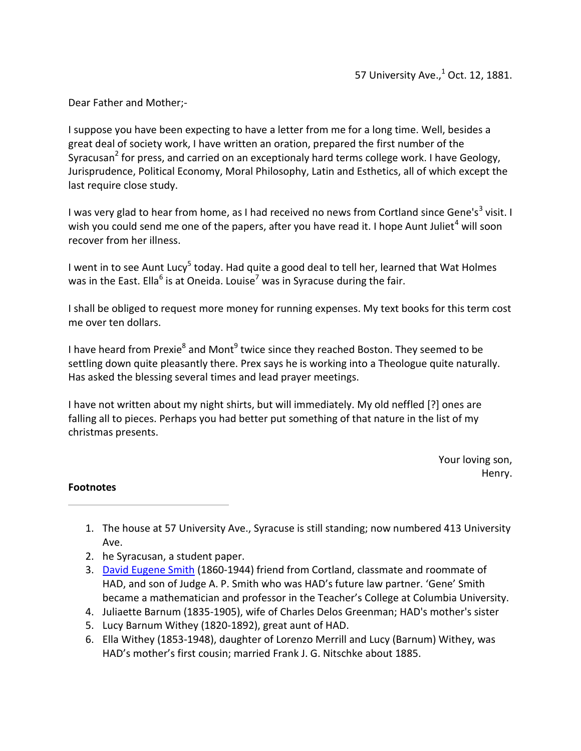I suppose you have been expecting to have a letter from me for a long time. Well, besides a great deal of society work, I have written an oration, prepared the first number of the Syracusan<sup>2</sup> for press, and carried on an exceptionaly hard terms college work. I have Geology, Jurisprudence, Political Economy, Moral Philosophy, Latin and Esthetics, all of which except the last require close study.

I was very glad to hear from home, as I had received no news from Cortland since Gene's<sup>3</sup> visit. I wish you could send me one of the papers, after you have read it. I hope Aunt Juliet<sup>4</sup> will soon recover from her illness.

I went in to see Aunt Lucy<sup>5</sup> today. Had quite a good deal to tell her, learned that Wat Holmes was in the East. Ella<sup>6</sup> is at Oneida. Louise<sup>7</sup> was in Syracuse during the fair.

I shall be obliged to request more money for running expenses. My text books for this term cost me over ten dollars.

I have heard from Prexie<sup>8</sup> and Mont<sup>9</sup> twice since they reached Boston. They seemed to be settling down quite pleasantly there. Prex says he is working into a Theologue quite naturally. Has asked the blessing several times and lead prayer meetings.

I have not written about my night shirts, but will immediately. My old neffled [?] ones are falling all to pieces. Perhaps you had better put something of that nature in the list of my christmas presents.

> Your loving son, Henry.

- 1. The house at 57 University Ave., Syracuse is still standing; now numbered 413 University Ave.
- 2. he Syracusan, a student paper.
- 3. David Eugene Smith (1860-1944) friend from Cortland, classmate and roommate of HAD, and son of Judge A. P. Smith who was HAD's future law partner. 'Gene' Smith became a mathematician and professor in the Teacher's College at Columbia University.
- 4. Juliaette Barnum (1835-1905), wife of Charles Delos Greenman; HAD's mother's sister
- 5. Lucy Barnum Withey (1820-1892), great aunt of HAD.
- 6. Ella Withey (1853-1948), daughter of Lorenzo Merrill and Lucy (Barnum) Withey, was HAD's mother's first cousin; married Frank J. G. Nitschke about 1885.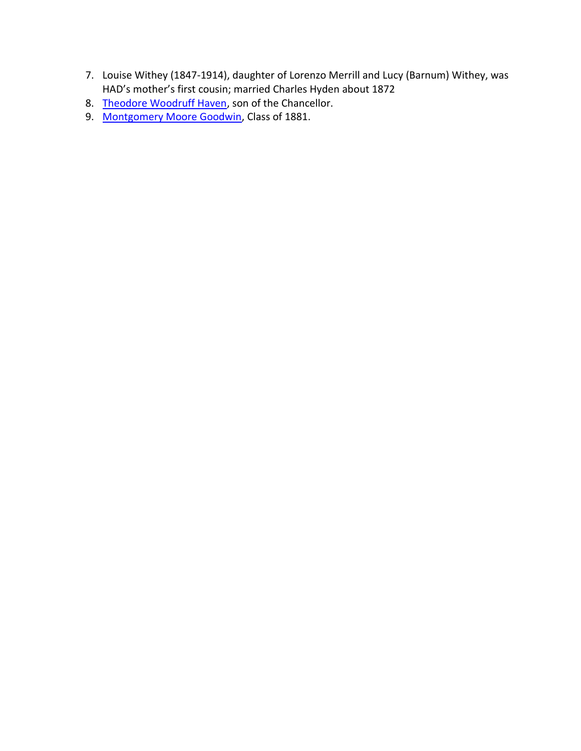- 7. Louise Withey (1847-1914), daughter of Lorenzo Merrill and Lucy (Barnum) Withey, was HAD's mother's first cousin; married Charles Hyden about 1872
- 8. Theodore Woodruff Haven, son of the Chancellor.
- 9. Montgomery Moore Goodwin, Class of 1881.